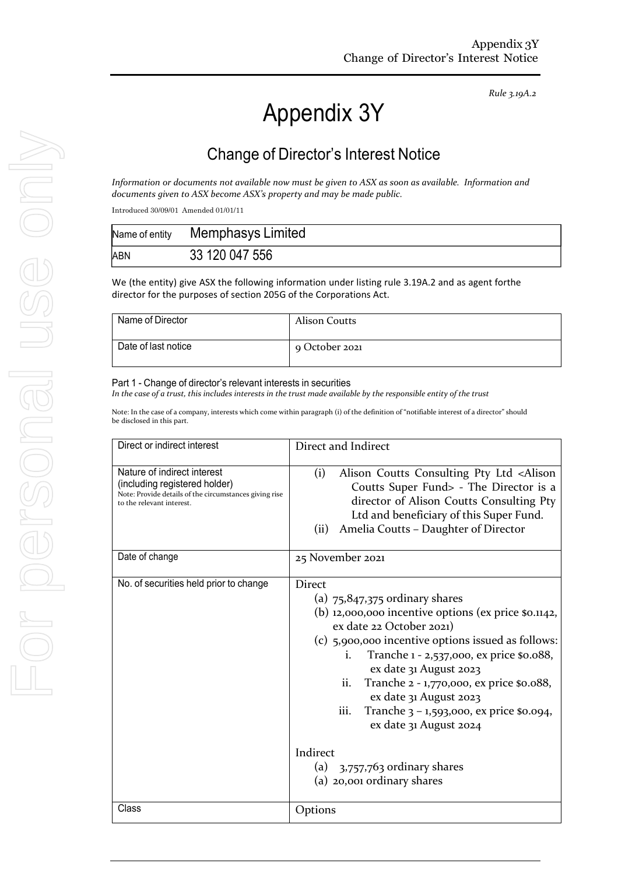# *Rule 3.19A.2*

# Appendix 3Y

# Change of Director's Interest Notice

*Information or documents not available now must be given to ASX as soon as available. Information and documents given to ASX become ASX's property and may be made public.*

Introduced 30/09/01 Amended 01/01/11

| Name of entity | Memphasys Limited |
|----------------|-------------------|
| ABN            | 33 120 047 556    |

We (the entity) give ASX the following information under listing rule 3.19A.2 and as agent forthe director for the purposes of section 205G of the Corporations Act.

| Name of Director    | Alison Coutts  |
|---------------------|----------------|
| Date of last notice | 9 October 2021 |

#### Part 1 - Change of director's relevant interests in securities

In the case of a trust, this includes interests in the trust made available by the responsible entity of the trust

Note: In the case of a company, interests which come within paragraph (i) of the definition of "notifiable interest of a director" should be disclosed in this part.

| Direct or indirect interest                                                                                                                         | Direct and Indirect                                                                                                                                                                                                                                                                                                                                                                                                                                                           |  |
|-----------------------------------------------------------------------------------------------------------------------------------------------------|-------------------------------------------------------------------------------------------------------------------------------------------------------------------------------------------------------------------------------------------------------------------------------------------------------------------------------------------------------------------------------------------------------------------------------------------------------------------------------|--|
| Nature of indirect interest<br>(including registered holder)<br>Note: Provide details of the circumstances giving rise<br>to the relevant interest. | (i)<br>Alison Coutts Consulting Pty Ltd <alison<br>Coutts Super Fund&gt; - The Director is a<br/>director of Alison Coutts Consulting Pty<br/>Ltd and beneficiary of this Super Fund.<br/>Amelia Coutts - Daughter of Director<br/>(ii)</alison<br>                                                                                                                                                                                                                           |  |
| Date of change                                                                                                                                      | 25 November 2021                                                                                                                                                                                                                                                                                                                                                                                                                                                              |  |
| No. of securities held prior to change                                                                                                              | Direct<br>(a) $75,847,375$ ordinary shares<br>(b) 12,000,000 incentive options (ex price \$0.1142,<br>ex date 22 October 2021)<br>(c) 5,900,000 incentive options issued as follows:<br>Tranche 1 - 2,537,000, ex price \$0.088,<br>i.<br>ex date 31 August 2023<br>Tranche 2 - 1,770,000, ex price \$0.088,<br>ii.<br>ex date 31 August 2023<br>Tranche $3 - 1,593,000$ , ex price \$0.094,<br>iii.<br>ex date 31 August 2024<br>Indirect<br>(a) $3,757,763$ ordinary shares |  |
|                                                                                                                                                     | (a) 20,001 ordinary shares                                                                                                                                                                                                                                                                                                                                                                                                                                                    |  |
| Class                                                                                                                                               | Options                                                                                                                                                                                                                                                                                                                                                                                                                                                                       |  |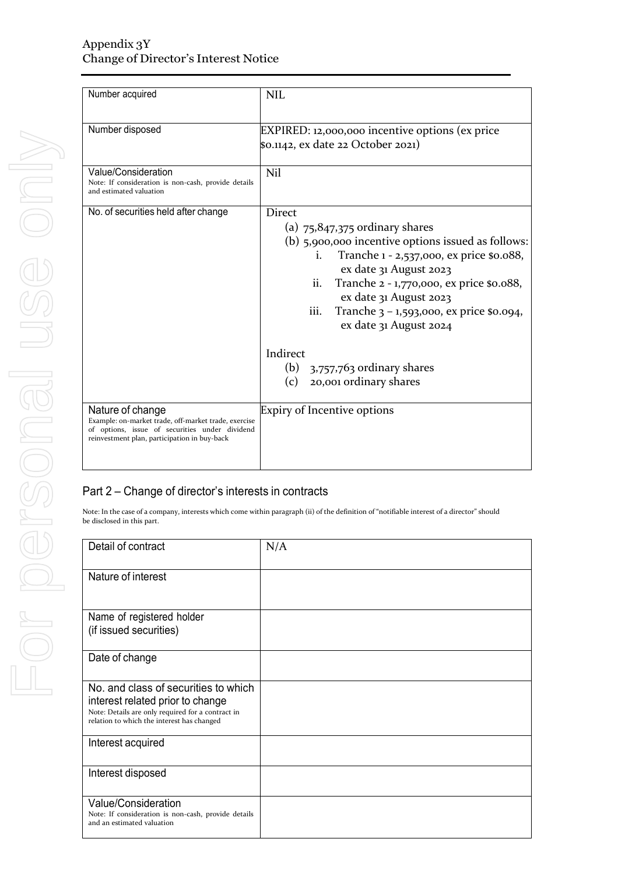| Number acquired                                                                                                                                                            | <b>NIL</b>                                                                                                                                                                                                                                                                                                                                                                                                   |  |  |
|----------------------------------------------------------------------------------------------------------------------------------------------------------------------------|--------------------------------------------------------------------------------------------------------------------------------------------------------------------------------------------------------------------------------------------------------------------------------------------------------------------------------------------------------------------------------------------------------------|--|--|
| Number disposed                                                                                                                                                            | EXPIRED: 12,000,000 incentive options (ex price<br>\$0.1142, ex date 22 October 2021)                                                                                                                                                                                                                                                                                                                        |  |  |
| Value/Consideration<br>Note: If consideration is non-cash, provide details<br>and estimated valuation                                                                      | Nil                                                                                                                                                                                                                                                                                                                                                                                                          |  |  |
| No. of securities held after change                                                                                                                                        | <b>Direct</b><br>(a) $75,847,375$ ordinary shares<br>(b) 5,900,000 incentive options issued as follows:<br>Tranche 1 - 2,537,000, ex price \$0.088,<br>$\mathbf{1}$ .<br>ex date 31 August 2023<br>Tranche 2 - 1,770,000, ex price \$0.088,<br>ii.<br>ex date 31 August 2023<br>iii.<br>Tranche $3 - 1,593,000$ , ex price \$0.094,<br>ex date 31 August 2024<br>Indirect<br>(b) $3,757,763$ ordinary shares |  |  |
|                                                                                                                                                                            | 20,001 ordinary shares<br>(c)                                                                                                                                                                                                                                                                                                                                                                                |  |  |
| Nature of change<br>Example: on-market trade, off-market trade, exercise<br>of options, issue of securities under dividend<br>reinvestment plan, participation in buy-back | Expiry of Incentive options                                                                                                                                                                                                                                                                                                                                                                                  |  |  |

### Part 2 – Change of director's interests in contracts

Note: In the case of a company, interests which come within paragraph (ii) of the definition of "notifiable interest of a director" should be disclosed in this part.

| Detail of contract                                                                                                                                                          | N/A |
|-----------------------------------------------------------------------------------------------------------------------------------------------------------------------------|-----|
| Nature of interest                                                                                                                                                          |     |
| Name of registered holder<br>(if issued securities)                                                                                                                         |     |
| Date of change                                                                                                                                                              |     |
| No. and class of securities to which<br>interest related prior to change<br>Note: Details are only required for a contract in<br>relation to which the interest has changed |     |
| Interest acquired                                                                                                                                                           |     |
| Interest disposed                                                                                                                                                           |     |
| Value/Consideration<br>Note: If consideration is non-cash, provide details<br>and an estimated valuation                                                                    |     |